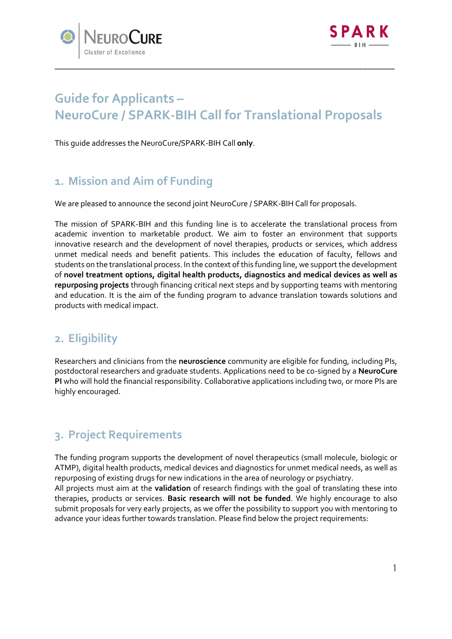



# **Guide for Applicants – NeuroCure / SPARK-BIH Call for Translational Proposals**

\_\_\_\_\_\_\_\_\_\_\_\_\_\_\_\_\_\_\_\_\_\_\_\_\_\_\_\_\_\_\_\_\_\_\_\_\_\_\_\_\_\_\_\_\_\_\_\_\_\_\_\_\_\_\_\_\_\_\_\_\_\_\_\_\_\_\_\_\_\_\_\_\_\_\_

This guide addresses the NeuroCure/SPARK-BIH Call **only**.

### **1. Mission and Aim of Funding**

We are pleased to announce the second joint NeuroCure / SPARK-BIH Call for proposals.

The mission of SPARK-BIH and this funding line is to accelerate the translational process from academic invention to marketable product. We aim to foster an environment that supports innovative research and the development of novel therapies, products or services, which address unmet medical needs and benefit patients. This includes the education of faculty, fellows and students on the translational process. In the context of this funding line, we support the development of **novel treatment options, digital health products, diagnostics and medical devices as well as repurposing projects** through financing critical next steps and by supporting teams with mentoring and education. It is the aim of the funding program to advance translation towards solutions and products with medical impact.

#### **2. Eligibility**

Researchers and clinicians from the **neuroscience** community are eligible for funding, including PIs, postdoctoral researchers and graduate students. Applications need to be co-signed by a **NeuroCure PI** who will hold the financial responsibility. Collaborative applications including two, or more PIs are highly encouraged.

## **3. Project Requirements**

The funding program supports the development of novel therapeutics (small molecule, biologic or ATMP), digital health products, medical devices and diagnostics for unmet medical needs, as well as repurposing of existing drugs for new indications in the area of neurology or psychiatry. All projects must aim at the **validation** of research findings with the goal of translating these into therapies, products or services. **Basic research will not be funded**. We highly encourage to also submit proposals for very early projects, as we offer the possibility to support you with mentoring to advance your ideas further towards translation. Please find below the project requirements: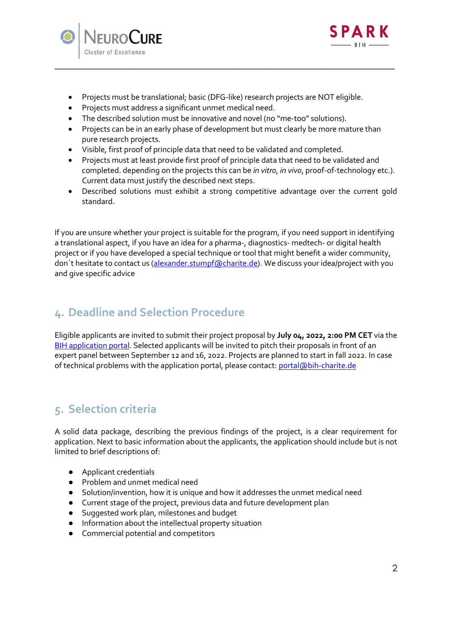



- Projects must be translational; basic (DFG-like) research projects are NOT eligible.
- Projects must address a significant unmet medical need.
- The described solution must be innovative and novel (no "me-too" solutions).
- Projects can be in an early phase of development but must clearly be more mature than pure research projects.

\_\_\_\_\_\_\_\_\_\_\_\_\_\_\_\_\_\_\_\_\_\_\_\_\_\_\_\_\_\_\_\_\_\_\_\_\_\_\_\_\_\_\_\_\_\_\_\_\_\_\_\_\_\_\_\_\_\_\_\_\_\_\_\_\_\_\_\_\_\_\_\_\_\_\_

- Visible, first proof of principle data that need to be validated and completed.
- Projects must at least provide first proof of principle data that need to be validated and completed. depending on the projects this can be *in vitro*, *in vivo*, proof-of-technology etc.). Current data must justify the described next steps.
- Described solutions must exhibit a strong competitive advantage over the current gold standard.

If you are unsure whether your project is suitable for the program, if you need support in identifying a translational aspect, if you have an idea for a pharma-, diagnostics- medtech- or digital health project or if you have developed a special technique or tool that might benefit a wider community, don´t hesitate to contact us [\(alexander.stumpf@charite.de\)](mailto:alexander.stumpf@charite.de). We discuss your idea/project with you and give specific advice

## **4. Deadline and Selection Procedure**

Eligible applicants are invited to submit their project proposal by **July 04, 2022, 2:00 PM CET** via the [BIH application portal.](https://portal.bihealth.de/portal/SitePages/Home.aspx) Selected applicants will be invited to pitch their proposals in front of an expert panel between September 12 and 16, 2022. Projects are planned to start in fall 2022. In case of technical problems with the application portal, please contact: [portal@bih-charite.de](mailto:portal@bih-charite.de)

## **5. Selection criteria**

A solid data package, describing the previous findings of the project, is a clear requirement for application. Next to basic information about the applicants, the application should include but is not limited to brief descriptions of:

- Applicant credentials
- Problem and unmet medical need
- Solution/invention, how it is unique and how it addresses the unmet medical need
- Current stage of the project, previous data and future development plan
- Suggested work plan, milestones and budget
- Information about the intellectual property situation
- Commercial potential and competitors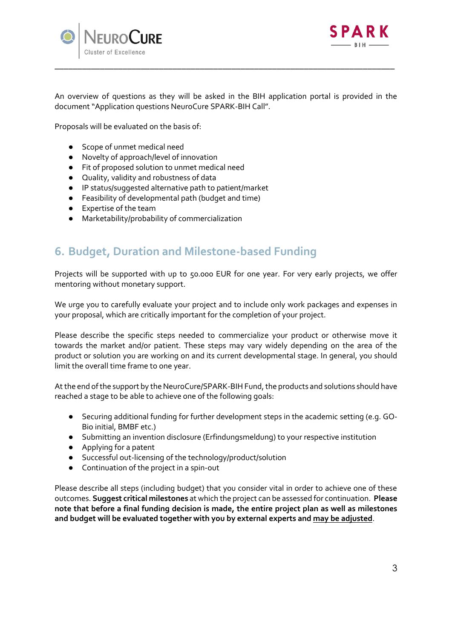



An overview of questions as they will be asked in the BIH application portal is provided in the document "Application questions NeuroCure SPARK-BIH Call".

\_\_\_\_\_\_\_\_\_\_\_\_\_\_\_\_\_\_\_\_\_\_\_\_\_\_\_\_\_\_\_\_\_\_\_\_\_\_\_\_\_\_\_\_\_\_\_\_\_\_\_\_\_\_\_\_\_\_\_\_\_\_\_\_\_\_\_\_\_\_\_\_\_\_\_

Proposals will be evaluated on the basis of:

- Scope of unmet medical need
- Novelty of approach/level of innovation
- Fit of proposed solution to unmet medical need
- Quality, validity and robustness of data
- IP status/suggested alternative path to patient/market
- Feasibility of developmental path (budget and time)
- Expertise of the team
- Marketability/probability of commercialization

#### **6. Budget, Duration and Milestone-based Funding**

Projects will be supported with up to 50.000 EUR for one year. For very early projects, we offer mentoring without monetary support.

We urge you to carefully evaluate your project and to include only work packages and expenses in your proposal, which are critically important for the completion of your project.

Please describe the specific steps needed to commercialize your product or otherwise move it towards the market and/or patient. These steps may vary widely depending on the area of the product or solution you are working on and its current developmental stage. In general, you should limit the overall time frame to one year.

At the end of the support by the NeuroCure/SPARK-BIH Fund, the products and solutions should have reached a stage to be able to achieve one of the following goals:

- Securing additional funding for further development steps in the academic setting (e.g. GO-Bio initial, BMBF etc.)
- Submitting an invention disclosure (Erfindungsmeldung) to your respective institution
- Applying for a patent
- Successful out-licensing of the technology/product/solution
- Continuation of the project in a spin-out

Please describe all steps (including budget) that you consider vital in order to achieve one of these outcomes. **Suggest critical milestones** at which the project can be assessed for continuation. **Please note that before a final funding decision is made, the entire project plan as well as milestones and budget will be evaluated together with you by external experts and may be adjusted**.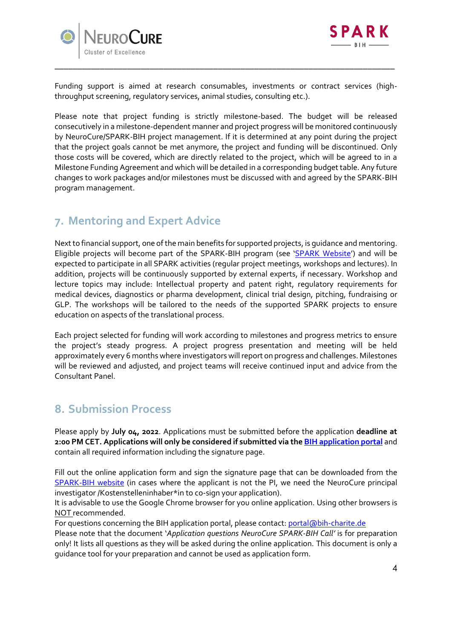



Funding support is aimed at research consumables, investments or contract services (highthroughput screening, regulatory services, animal studies, consulting etc.).

\_\_\_\_\_\_\_\_\_\_\_\_\_\_\_\_\_\_\_\_\_\_\_\_\_\_\_\_\_\_\_\_\_\_\_\_\_\_\_\_\_\_\_\_\_\_\_\_\_\_\_\_\_\_\_\_\_\_\_\_\_\_\_\_\_\_\_\_\_\_\_\_\_\_\_

Please note that project funding is strictly milestone-based. The budget will be released consecutively in a milestone-dependent manner and project progress will be monitored continuously by NeuroCure/SPARK-BIH project management. If it is determined at any point during the project that the project goals cannot be met anymore, the project and funding will be discontinued. Only those costs will be covered, which are directly related to the project, which will be agreed to in a Milestone Funding Agreement and which will be detailed in a corresponding budget table. Any future changes to work packages and/or milestones must be discussed with and agreed by the SPARK-BIH program management.

### **7. Mentoring and Expert Advice**

Next to financial support, one of the main benefits for supported projects, is guidance and mentoring. Eligible projects will become part of the SPARK-BIH program (see '[SPARK Website](https://spark-bih.de/)') and will be expected to participate in all SPARK activities (regular project meetings, workshops and lectures). In addition, projects will be continuously supported by external experts, if necessary. Workshop and lecture topics may include: Intellectual property and patent right, regulatory requirements for medical devices, diagnostics or pharma development, clinical trial design, pitching, fundraising or GLP. The workshops will be tailored to the needs of the supported SPARK projects to ensure education on aspects of the translational process.

Each project selected for funding will work according to milestones and progress metrics to ensure the project's steady progress. A project progress presentation and meeting will be held approximately every 6 months where investigators will report on progress and challenges. Milestones will be reviewed and adjusted, and project teams will receive continued input and advice from the Consultant Panel.

#### **8. Submission Process**

Please apply by **July 04, 2022**. Applications must be submitted before the application **deadline at 2:00 PM CET. Applications will only be considered if submitted via the [BIH application portal](https://portal.bihealth.de/portal/SitePages/Home.aspx)** and contain all required information including the signature page.

Fill out the online application form and sign the signature page that can be downloaded from the [SPARK-BIH](https://www.spark-bih.de/program/application-neurocure) website (in cases where the applicant is not the PI, we need the NeuroCure principal investigator /Kostenstelleninhaber\*in to co-sign your application).

It is advisable to use the Google Chrome browser for you online application. Using other browsers is NOT recommended.

For questions concerning the BIH application portal, please contact: [portal@bih-charite.de](mailto:portal@bih-charite.de)

Please note that the document '*Application questions NeuroCure SPARK-BIH Call'* is for preparation only! It lists all questions as they will be asked during the online application. This document is only a guidance tool for your preparation and cannot be used as application form.